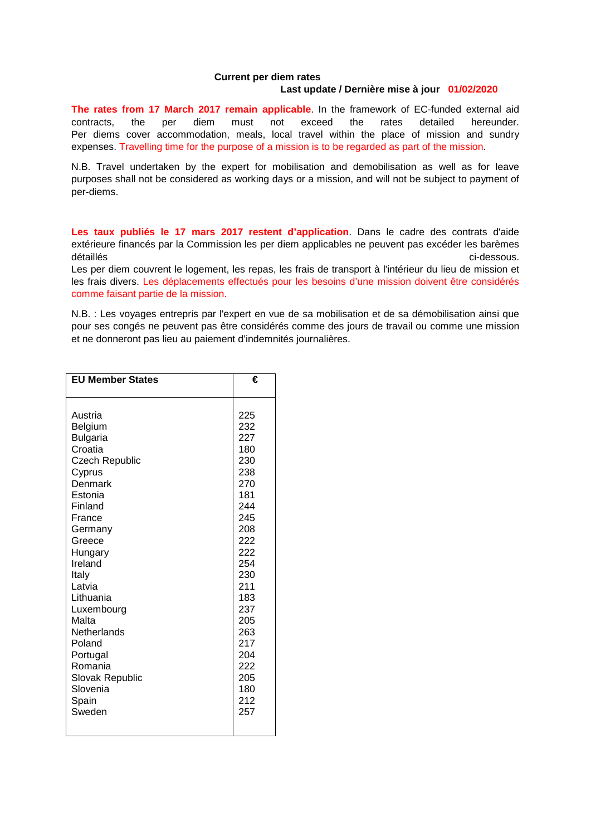## **Current per diem rates**

## **Last update / Dernière mise à jour 01/02/2020**

**The rates from 17 March 2017 remain applicable**. In the framework of EC-funded external aid contracts, the per diem must not exceed the rates detailed hereunder. Per diems cover accommodation, meals, local travel within the place of mission and sundry expenses. Travelling time for the purpose of a mission is to be regarded as part of the mission.

N.B. Travel undertaken by the expert for mobilisation and demobilisation as well as for leave purposes shall not be considered as working days or a mission, and will not be subject to payment of per-diems.

**Les taux publiés le 17 mars 2017 restent d'application**. Dans le cadre des contrats d'aide extérieure financés par la Commission les per diem applicables ne peuvent pas excéder les barèmes détaillés circulaires de la commune de la circulaire de la circulaire de la circulaire de la circulaire de la c

Les per diem couvrent le logement, les repas, les frais de transport à l'intérieur du lieu de mission et les frais divers. Les déplacements effectués pour les besoins d'une mission doivent être considérés comme faisant partie de la mission.

N.B. : Les voyages entrepris par l'expert en vue de sa mobilisation et de sa démobilisation ainsi que pour ses congés ne peuvent pas être considérés comme des jours de travail ou comme une mission et ne donneront pas lieu au paiement d'indemnités journalières.

| <b>EU Member States</b> | €   |
|-------------------------|-----|
|                         |     |
| Austria                 | 225 |
| Belgium                 | 232 |
| <b>Bulgaria</b>         | 227 |
| Croatia                 | 180 |
| <b>Czech Republic</b>   | 230 |
| Cyprus                  | 238 |
| Denmark                 | 270 |
| Estonia                 | 181 |
| Finland                 | 244 |
| France                  | 245 |
| Germany                 | 208 |
| Greece                  | 222 |
| Hungary                 | 222 |
| Ireland                 | 254 |
| Italy                   | 230 |
| Latvia                  | 211 |
| Lithuania               | 183 |
| Luxembourg              | 237 |
| Malta                   | 205 |
| <b>Netherlands</b>      | 263 |
| Poland                  | 217 |
| Portugal                | 204 |
| Romania                 | 222 |
| <b>Slovak Republic</b>  | 205 |
| Slovenia                | 180 |
| Spain                   | 212 |
| Sweden                  | 257 |
|                         |     |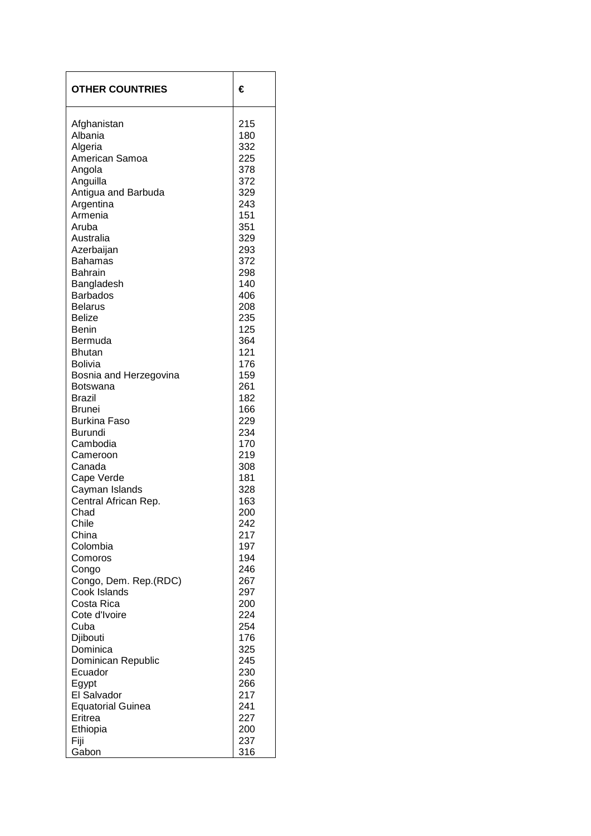| <b>OTHER COUNTRIES</b>            | €          |
|-----------------------------------|------------|
| Afghanistan<br>Albania            | 215<br>180 |
|                                   |            |
| Algeria                           | 332        |
| American Samoa                    | 225<br>378 |
| Angola<br>Anguilla                | 372        |
| Antigua and Barbuda               | 329        |
| Argentina                         | 243        |
| Armenia                           | 151        |
| Aruba                             | 351        |
| Australia                         | 329        |
| Azerbaijan                        | 293        |
| <b>Bahamas</b>                    | 372        |
| <b>Bahrain</b>                    | 298        |
| Bangladesh                        | 140        |
| <b>Barbados</b>                   | 406        |
| <b>Belarus</b>                    | 208        |
| <b>Belize</b>                     | 235        |
| <b>Benin</b>                      | 125        |
| Bermuda<br><b>Bhutan</b>          | 364        |
|                                   | 121<br>176 |
| Bolivia<br>Bosnia and Herzegovina | 159        |
| Botswana                          | 261        |
| <b>Brazil</b>                     | 182        |
| <b>Brunei</b>                     | 166        |
| <b>Burkina Faso</b>               | 229        |
| <b>Burundi</b>                    | 234        |
| Cambodia                          | 170        |
| Cameroon                          | 219        |
| Canada                            | 308        |
| Cape Verde                        | 181        |
| Cayman Islands                    | 328        |
| Central African Rep.              | 163        |
| Chad                              | 200        |
| Chile                             | 242        |
| China<br>Colombia                 | 217<br>197 |
| Comoros                           | 194        |
| Congo                             | 246        |
| Congo, Dem. Rep.(RDC)             | 267        |
| Cook Islands                      | 297        |
| Costa Rica                        | 200        |
| Cote d'Ivoire                     | 224        |
| Cuba                              | 254        |
| Djibouti                          | 176        |
| Dominica                          | 325        |
| Dominican Republic                | 245        |
| Ecuador                           | 230        |
| Egypt                             | 266        |
| El Salvador                       | 217        |
| <b>Equatorial Guinea</b>          | 241        |
| Eritrea                           | 227<br>200 |
| Ethiopia<br>Fiji                  | 237        |
| Gabon                             | 316        |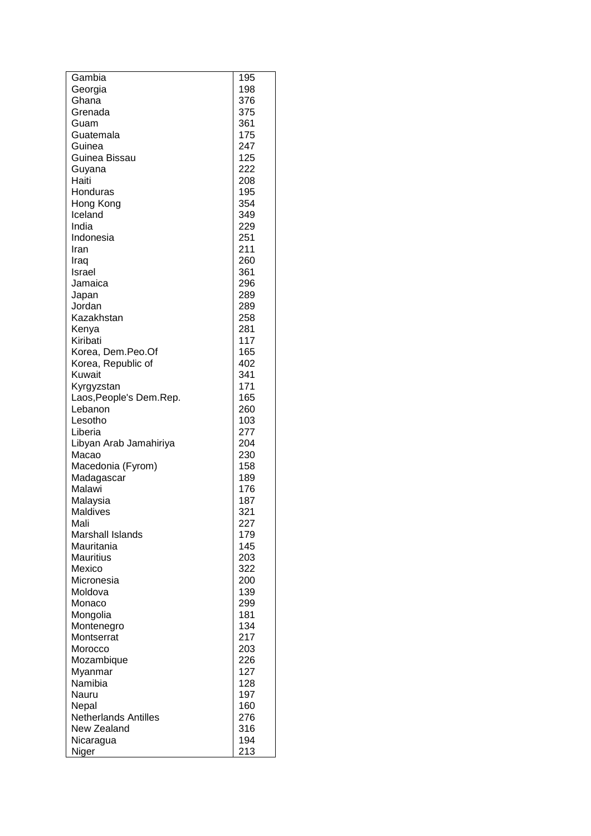| Gambia                      | 195 |
|-----------------------------|-----|
| Georgia                     | 198 |
| Ghana                       | 376 |
| Grenada                     | 375 |
| Guam                        | 361 |
| Guatemala                   | 175 |
| Guinea                      | 247 |
| Guinea Bissau               | 125 |
| Guyana                      | 222 |
| Haiti                       | 208 |
| Honduras                    | 195 |
| Hong Kong                   | 354 |
| Iceland                     | 349 |
| India                       | 229 |
| Indonesia                   | 251 |
| Iran                        | 211 |
| Iraq                        | 260 |
| Israel                      | 361 |
| Jamaica                     | 296 |
| Japan                       | 289 |
| Jordan                      | 289 |
| Kazakhstan                  | 258 |
| Kenya                       | 281 |
| Kiribati                    | 117 |
|                             | 165 |
| Korea, Dem.Peo.Of           |     |
| Korea, Republic of          | 402 |
| Kuwait                      | 341 |
| Kyrgyzstan                  | 171 |
| Laos, People's Dem. Rep.    | 165 |
| Lebanon                     | 260 |
| Lesotho                     | 103 |
| Liberia                     | 277 |
| Libyan Arab Jamahiriya      | 204 |
| Macao                       | 230 |
| Macedonia (Fyrom)           | 158 |
| Madagascar                  | 189 |
| Malawi                      | 176 |
| Malaysia                    | 187 |
| Maldives                    | 321 |
| Mali                        | 227 |
| <b>Marshall Islands</b>     | 179 |
| Mauritania                  | 145 |
| <b>Mauritius</b>            | 203 |
| Mexico                      | 322 |
| Micronesia                  | 200 |
| Moldova                     | 139 |
| Monaco                      | 299 |
| Mongolia                    | 181 |
| Montenegro                  | 134 |
| Montserrat                  | 217 |
| Morocco                     | 203 |
| Mozambique                  | 226 |
| Myanmar                     | 127 |
| Namibia                     | 128 |
| Nauru                       | 197 |
| Nepal                       | 160 |
| <b>Netherlands Antilles</b> | 276 |
| New Zealand                 | 316 |
| Nicaragua                   | 194 |
| Niger                       | 213 |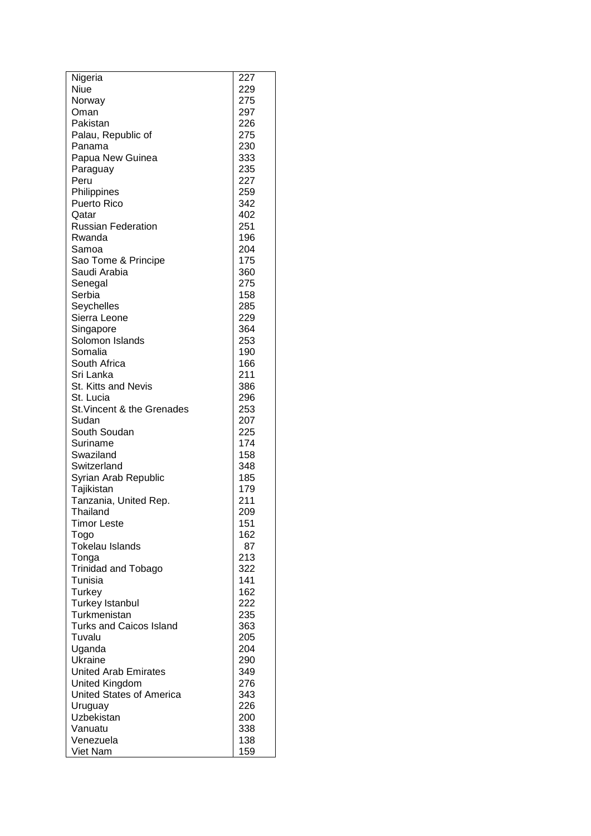| Nigeria                          | 227        |
|----------------------------------|------------|
| Niue                             | 229        |
| Norway                           | 275        |
| Oman                             | 297        |
| Pakistan                         | 226        |
| Palau, Republic of               | 275        |
| Panama                           | 230        |
| Papua New Guinea                 | 333        |
| Paraguay                         | 235        |
| Peru                             | 227        |
| Philippines                      | 259        |
| <b>Puerto Rico</b>               | 342        |
| Qatar                            | 402        |
| <b>Russian Federation</b>        | 251        |
| Rwanda                           | 196        |
| Samoa                            | 204        |
| Sao Tome & Principe              | 175        |
| Saudi Arabia                     | 360        |
| Senegal<br>Serbia                | 275<br>158 |
| Seychelles                       | 285        |
| Sierra Leone                     | 229        |
| Singapore                        | 364        |
| Solomon Islands                  | 253        |
| Somalia                          | 190        |
| South Africa                     | 166        |
| Sri Lanka                        | 211        |
| <b>St. Kitts and Nevis</b>       | 386        |
| St. Lucia                        | 296        |
| St. Vincent & the Grenades       | 253        |
| Sudan                            | 207        |
| South Soudan                     | 225        |
| Suriname                         | 174        |
| Swaziland                        | 158        |
| Switzerland                      | 348        |
| Syrian Arab Republic             | 185        |
| Tajikistan                       | 179        |
| Tanzania, United Rep.            | 211        |
| Thailand                         | 209        |
| <b>Timor Leste</b>               | 151        |
| Togo                             | 162        |
| <b>Tokelau Islands</b>           | 87         |
| Tonga                            | 213        |
| <b>Trinidad and Tobago</b>       | 322        |
| Tunisia                          | 141        |
| Turkey<br><b>Turkey Istanbul</b> | 162<br>222 |
| Turkmenistan                     | 235        |
| <b>Turks and Caicos Island</b>   | 363        |
| Tuvalu                           | 205        |
| Uganda                           | 204        |
| Ukraine                          | 290        |
| <b>United Arab Emirates</b>      | 349        |
| <b>United Kingdom</b>            | 276        |
| <b>United States of America</b>  | 343        |
| Uruguay                          | 226        |
| Uzbekistan                       | 200        |
| Vanuatu                          | 338        |
| Venezuela                        | 138        |
| Viet Nam                         | 159        |